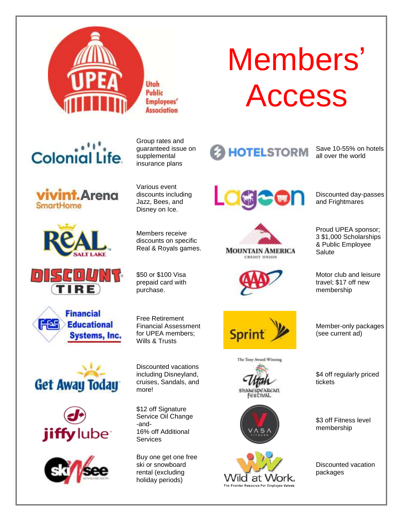

Utah Public **Employees' Association** 

# **Colonial Life**

**ivint.** Arena **SmartHome** 













Group rates and guaranteed issue on supplemental insurance plans

Various event discounts including Jazz, Bees, and Disney on Ice.

Members receive discounts on specific Real & Royals games.

\$50 or \$100 Visa prepaid card with purchase.

Free Retirement Financial Assessment for UPEA members; Wills & Trusts

Discounted vacations including Disneyland, cruises, Sandals, and more!

\$12 off Signature Service Oil Change -and-16% off Additional **Services** 

Buy one get one free ski or snowboard rental (excluding holiday periods)

# Members' Access

**HOTELSTORM** 

Save 10-55% on hotels all over the world

Discounted day-passes and Frightmares









Motor club and leisure travel; \$17 off new membership

**Sprint** 







Member-only packages (see current ad)

\$4 off regularly priced tickets

\$3 off Fitness level membership

Discounted vacation packages